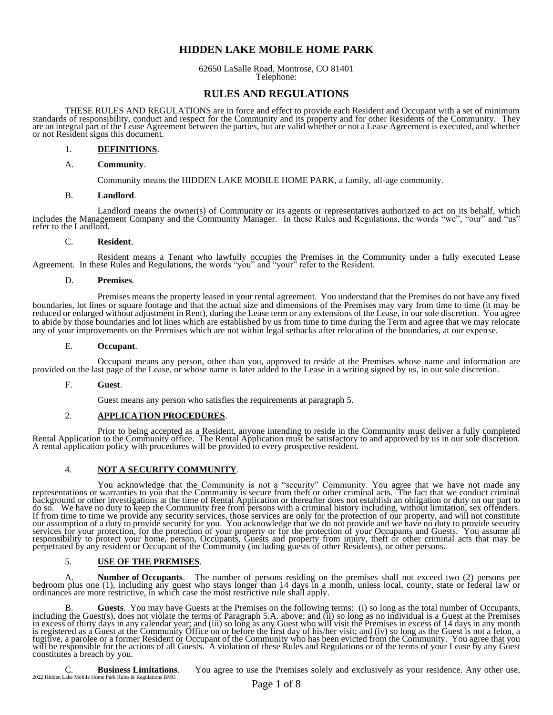# **HIDDEN LAKE MOBILE HOME PARK**

62650 LaSalle Road, Montrose, CO 81401 Telephone:

# **RULES AND REGULATIONS**

THESE RULES AND REGULATIONS are in force and effect to provide each Resident and Occupant with a set of minimum standards of responsibility, conduct and respect for the Community and its property and for other Residents of the Community. They are an integral part of the Lease Agreement between the parties, but are valid whether or not a Lease Agreement is executed, and whether or not Resident signs this document.

### 1. **DEFINITIONS**.

#### A. **Community**.

Community means the HIDDEN LAKE MOBILE HOME PARK, a family, all-age community.

#### B. **Landlord**.

Landlord means the owner(s) of Community or its agents or representatives authorized to act on its behalf, which includes the Management Company and the Community Manager. In these Rules and Regulations, the words "we", "our" and "us" refer to the Landlord.

#### C. **Resident**.

Resident means a Tenant who lawfully occupies the Premises in the Community under a fully executed Lease Agreement. In these Rules and Regulations, the words "you" and "your" refer to the Resident.

#### D. **Premises**.

Premises means the property leased in your rental agreement. You understand that the Premises do not have any fixed boundaries, lot lines or square footage and that the actual size and dimensions of the Premises may vary from time to time (it may be reduced or enlarged without adjustment in Rent), during the Lease term or any extensions of the Lease, in our sole discretion. You agree to abide by those boundaries and lot lines which are established by us from time to time during the Term and agree that we may relocate any of your improvements on the Premises which are not within legal setbacks after relocation of the boundaries, at our expense.

#### E. **Occupant**.

Occupant means any person, other than you, approved to reside at the Premises whose name and information are provided on the last page of the Lease, or whose name is later added to the Lease in a writing signed by us, in our sole discretion.

## F. **Guest**.

Guest means any person who satisfies the requirements at paragraph 5.

## 2. **APPLICATION PROCEDURES**.

Prior to being accepted as a Resident, anyone intending to reside in the Community must deliver a fully completed Rental Application to the Community office. The Rental Application must be satisfactory to and approved by us in our sole discretion. A rental application policy with procedures will be provided to every prospective resident.

## 4. **NOT A SECURITY COMMUNITY**.

You acknowledge that the Community is not a "security" Community. You agree that we have not made any representations or warranties to you that the Community is secure from theft or other criminal acts. The fact that we conduct criminal background or other investigations at the time of Rental Application or thereafter does not establish an obligation or duty on our part to do so. We have no duty to keep the Community free from persons with a criminal history including, without limitation, sex offenders. If from time to time we provide any security services, those services are only for the protection of our property, and will not constitute our assumption of a duty to provide security for you. You acknowledge that we do not provide and we have no duty to provide security services for your protection, for the protection of your property or for the protection of your Occupants and Guests. You assume all responsibility to protect your home, person, Occupants, Guests and property from injury, theft or other criminal acts that may be perpetrated by any resident or Occupant of the Community (including guests of other Residents), or other persons.

## 5. **USE OF THE PREMISES**.

A. **Number of Occupants**. The number of persons residing on the premises shall not exceed two (2) persons per bedroom plus one (1), including any guest who stays longer than 14 days in a month, unless local, county, state or federal law or ordinances are more restrictive, in which case the most restrictive rule shall apply.

B. **Guests**. You may have Guests at the Premises on the following terms: (i) so long as the total number of Occupants, including the Guest(s), does not violate the terms of Paragraph 5.A. above; and (ii) so long as no individual is a Guest at the Premises in excess of thirty days in any calendar year; and (iii) so long as any Guest who will visit the Premises in excess of 14 days in any month is registered as a Guest at the Community Office on or before the first day of his/her visit; and (iv) so long as the Guest is not a felon, a fugitive, a parolee or a former Resident or Occupant of the Community who has been evicted from the Community. You agree that you will be responsible for the actions of all Guests. A violation of these Rules and Regulations or of the terms of your Lease by any Guest constitutes a breach by you.

2022 Hidden Lake Mobile Home Park Rules & Regulations BMG C. **Business Limitations**. You agree to use the Premises solely and exclusively as your residence. Any other use,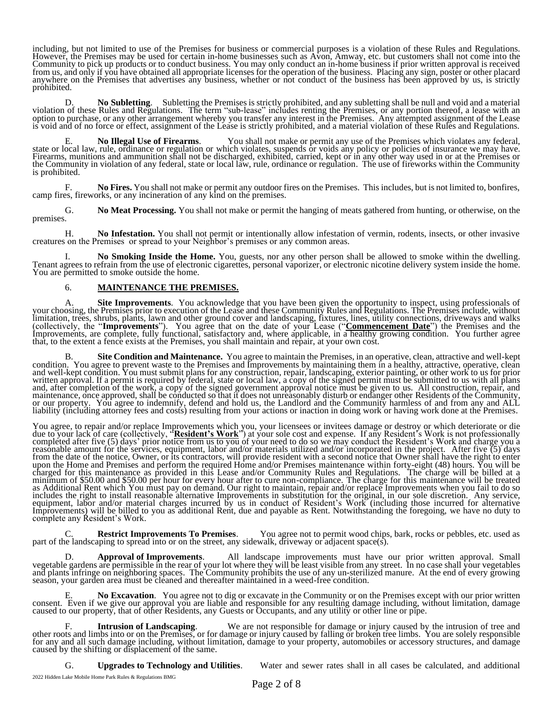including, but not limited to use of the Premises for business or commercial purposes is a violation of these Rules and Regulations. However, the Premises may be used for certain in-home businesses such as Avon, Amway, etc. but customers shall not come into the Community to pick up products or to conduct business. You may only conduct an in-home business if prior written approval is received from us, and only if you have obtained all appropriate licenses for the operation of the business. Placing any sign, poster or other placard anywhere on the Premises that advertises any business, whether or not conduct of the business has been approved by us, is strictly prohibited.

D. **No Subletting**. Subletting the Premises is strictly prohibited, and any subletting shall be null and void and a material violation of these Rules and Regulations. The term "sub-lease" includes renting the Premises, or any portion thereof, a lease with an option to purchase, or any other arrangement whereby you transfer any interest in the Premises. Any attempted assignment of the Lease is void and of no force or effect, assignment of the Lease is strictly prohibited, and a material violation of these Rules and Regulations.

E. **No Illegal Use of Firearms**. You shall not make or permit any use of the Premises which violates any federal, state or local law, rule, ordinance or regulation or which violates, suspends or voids any policy or policies of insurance we may have. Firearms, munitions and ammunition shall not be discharged, exhibited, carried, kept or in any other way used in or at the Premises or the Community in violation of any federal, state or local law, rule, ordinance or regulation. The use of fireworks within the Community is prohibited.

F. **No Fires.** You shall not make or permit any outdoor fires on the Premises. This includes, but is not limited to, bonfires, camp fires, fireworks, or any incineration of any kind on the premises.

G. **No Meat Processing.** You shall not make or permit the hanging of meats gathered from hunting, or otherwise, on the premises.

H. **No Infestation.** You shall not permit or intentionally allow infestation of vermin, rodents, insects, or other invasive creatures on the Premises or spread to your Neighbor's premises or any common areas.

I. **No Smoking Inside the Home.** You, guests, nor any other person shall be allowed to smoke within the dwelling. Tenant agrees to refrain from the use of electronic cigarettes, personal vaporizer, or electronic nicotine delivery system inside the home. You are permitted to smoke outside the home.

# 6. **MAINTENANCE THE PREMISES.**

A. **Site Improvements**. You acknowledge that you have been given the opportunity to inspect, using professionals of your choosing, the Premises prior to execution of the Lease and these Community Rules and Regulations. The Premises include, without limitation, trees, shrubs, plants, lawn and other ground cover and landscaping, fixtures, lines, utility connections, driveways and walks (collectively, the "**Improvements**"). You agree that on the date of your Lease ("**Commencement Date**") the Premises and the Improvements, are complete, fully functional, satisfactory and, where applicable, in a healthy growing condition. You further agree that, to the extent a fence exists at the Premises, you shall maintain and repair, at your own cost.

B. **Site Condition and Maintenance.** You agree to maintain the Premises, in an operative, clean, attractive and well-kept condition. You agree to prevent waste to the Premises and Improvements by maintaining them in a healthy, attractive, operative, clean and well-kept condition. You must submit plans for any construction, repair, landscaping, exterior painting, or other work to us for prior written approval. If a permit is required by federal, state or local law, a copy of the signed permit must be submitted to us with all plans and, after completion of the work, a copy of the signed government approval notice must be given to us. All construction, repair, and maintenance, once approved, shall be conducted so that it does not unreasonably disturb or endanger other Residents of the Community, or our property. You agree to indemnify, defend and hold us, the Landlord and the Community harmless of and from any and ALL liability (including attorney fees and costs) resulting from your actions or inaction in doing work or having work done at the Premises.

You agree, to repair and/or replace Improvements which you, your licensees or invitees damage or destroy or which deteriorate or die due to your lack of care (collectively, "**Resident's Work**") at your sole cost and expense. If any Resident's Work is not professionally completed after five (5) days' prior notice from us to you of your need to do so we may conduct the Resident's Work and charge you a reasonable amount for the services, equipment, labor and/or materials utilized and/or incorporated in the project. After five (5) days from the date of the notice, Owner, or its contractors, will provide resident with a second notice that Owner shall have the right to enter upon the Home and Premises and perform the required Home and/or Premises maintenance within forty-eight (48) hours. You will be charged for this maintenance as provided in this Lease and/or Community Rules and Regulations. The charge will be billed at a minimum of \$50.00 and \$50.00 per hour for every hour after to cure non-compliance. The charge for this maintenance will be treated as Additional Rent which You must pay on demand. Our right to maintain, repair and/or replace Improvements when you fail to do so includes the right to install reasonable alternative Improvements in substitution for the original, in our sole discretion. Any service, equipment, labor and/or material charges incurred by us in conduct of Resident's Work (including those incurred for alternative Improvements) will be billed to you as additional Rent, due and payable as Rent. Notwithstanding the foregoing, we have no duty to complete any Resident's Work.

C. **Restrict Improvements To Premises**. You agree not to permit wood chips, bark, rocks or pebbles, etc. used as part of the landscaping to spread into or on the street, any sidewalk, driveway or adjacent space(s).

D. **Approval of Improvements**. All landscape improvements must have our prior written approval. Small vegetable gardens are permissible in the rear of your lot where they will be least visible from any street. In no case shall your vegetables and plants infringe on neighboring spaces. The Community prohibits the use of any un-sterilized manure. At the end of every growing season, your garden area must be cleaned and thereafter maintained in a weed-free condition.

E. **No Excavation**. You agree not to dig or excavate in the Community or on the Premises except with our prior written consent. Even if we give our approval you are liable and responsible for any resulting damage including, without limitation, damage caused to our property, that of other Residents, any Guests or Occupants, and any utility or other line or pipe.

F. **Intrusion of Landscaping**. We are not responsible for damage or injury caused by the intrusion of tree and other roots and limbs into or on the Premises, or for damage or injury caused by falling or broken tree limbs. You are solely responsible for any and all such damage including, without limitation, damage to your property, automobiles or accessory structures, and damage caused by the shifting or displacement of the same.

G. **Upgrades to Technology and Utilities**. Water and sewer rates shall in all cases be calculated, and additional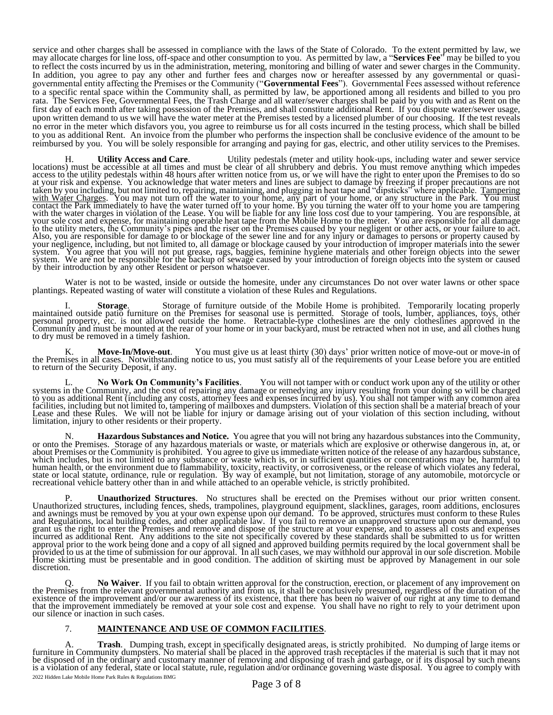service and other charges shall be assessed in compliance with the laws of the State of Colorado. To the extent permitted by law, we may allocate charges for line loss, off-space and other consumption to you. As permitted by law, a "**Services Fee**" may be billed to you to reflect the costs incurred by us in the administration, metering, monitoring and billing of water and sewer charges in the Community. In addition, you agree to pay any other and further fees and charges now or hereafter assessed by any governmental or quasigovernmental entity affecting the Premises or the Community ("**Governmental Fees**"). Governmental Fees assessed without reference to a specific rental space within the Community shall, as permitted by law, be apportioned among all residents and billed to you pro rata. The Services Fee, Governmental Fees, the Trash Charge and all water/sewer charges shall be paid by you with and as Rent on the first day of each month after taking possession of the Premises, and shall constitute additional Rent. If you dispute water/sewer usage, upon written demand to us we will have the water meter at the Premises tested by a licensed plumber of our choosing. If the test reveals no error in the meter which disfavors you, you agree to reimburse us for all costs incurred in the testing process, which shall be billed to you as additional Rent. An invoice from the plumber who performs the inspection shall be conclusive evidence of the amount to be reimbursed by you. You will be solely responsible for arranging and paying for gas, electric, and other utility services to the Premises.

H. **Utility Access and Care**. Utility pedestals (meter and utility hook-ups, including water and sewer service locations) must be accessible at all times and must be clear of all shrubbery and debris. You must remove anything which impedes access to the utility pedestals within 48 hours after written notice from us, or we will have the right to enter upon the Premises to do so at your risk and expense. You acknowledge that water meters and lines are subject to damage by freezing if proper precautions are not taken by you including, but not limited to, repairing, maintaining, and plugging in heat tape and "dipsticks" where applicable. Tampering with Water Charges. You may not turn off the water to your home, any part of your home, or any structure in the Park. You must contact the Park immediately to have the water turned off to your home. By you turning the water off to your home you are tampering with the water charges in violation of the Lease. You will be liable for any line loss cost due to your tampering. You are responsible, at your sole cost and expense, for maintaining operable heat tape from the Mobile Home to the meter. You are responsible for all damage to the utility meters, the Community's pipes and the riser on the Premises caused by your negligent or other acts, or your failure to act. Also, you are responsible for damage to or blockage of the sewer line and for any injury or damages to persons or property caused by your negligence, including, but not limited to, all damage or blockage caused by your introduction of improper materials into the sewer system. You agree that you will not put grease, rags, baggies, feminine hygiene materials and other foreign objects into the sewer system. We are not be responsible for the backup of sewage caused by your introduction of foreign objects into the system or caused by their introduction by any other Resident or person whatsoever.

Water is not to be wasted, inside or outside the homesite, under any circumstances Do not over water lawns or other space plantings. Repeated wasting of water will constitute a violation of these Rules and Regulations.

I. **Storage**. Storage of furniture outside of the Mobile Home is prohibited. Temporarily locating properly maintained outside patio furniture on the Premises for seasonal use is permitted. Storage of tools, lumber, appliances, toys, other personal property, etc. is not allowed outside the home. Retractable-type clotheslines are the only clotheslines approved in the Community and must be mounted at the rear of your home or in your backyard, must be retracted when not in use, and all clothes hung to dry must be removed in a timely fashion.

K. **Move-In/Move-out**. You must give us at least thirty (30) days' prior written notice of move-out or move-in of the Premises in all cases. Notwithstanding notice to us, you must satisfy all of the requirements of your Lease before you are entitled to return of the Security Deposit, if any.

L. **No Work On Community's Facilities**. You will not tamper with or conduct work upon any of the utility or other systems in the Community, and the cost of repairing any damage or remedying any injury resulting from your doing so will be charged to you as additional Rent (including any costs, attorney fees and expenses incurred by us). You shall not tamper with any common area facilities, including but not limited to, tampering of mailboxes and dumpsters. Violation of this section shall be a material breach of your Lease and these Rules. We will not be liable for injury or damage arising out of your violation of this section including, without limitation, injury to other residents or their property.

N. **Hazardous Substances and Notice.** You agree that you will not bring any hazardous substances into the Community, or onto the Premises. Storage of any hazardous materials or waste, or materials which are explosive or otherwise dangerous in, at, or about Premises or the Community is prohibited. You agree to give us immediate written notice of the release of any hazardous substance, which includes, but is not limited to any substance or waste which is, or in sufficient quantities or concentrations may be, harmful to human health, or the environment due to flammability, toxicity, reactivity, or corrosiveness, or the release of which violates any federal, state or local statute, ordinance, rule or regulation. By way of example, but not limitation, storage of any automobile, motorcycle or recreational vehicle battery other than in and while attached to an operable vehicle, is strictly prohibited.

P. **Unauthorized Structures**. No structures shall be erected on the Premises without our prior written consent. Unauthorized structures, including fences, sheds, trampolines, playground equipment, slacklines, garages, room additions, enclosures and awnings must be removed by you at your own expense upon our demand. To be approved, structures must conform to these Rules and Regulations, local building codes, and other applicable law. If you fail to remove an unapproved structure upon our demand, you grant us the right to enter the Premises and remove and dispose of the structure at your expense, and to assess all costs and expenses incurred as additional Rent. Any additions to the site not specifically covered by these standards shall be submitted to us for written approval prior to the work being done and a copy of all signed and approved building permits required by the local government shall be provided to us at the time of submission for our approval. In all such cases, we may withhold our approval in our sole discretion. Mobile Home skirting must be presentable and in good condition. The addition of skirting must be approved by Management in our sole discretion.

Q. **No Waiver**. If you fail to obtain written approval for the construction, erection, or placement of any improvement on the Premises from the relevant governmental authority and from us, it shall be conclusively presumed, regardless of the duration of the existence of the improvement and/or our awareness of its existence, that there has been no waiver of our right at any time to demand that the improvement immediately be removed at your sole cost and expense. You shall have no right to rely to your detriment upon our silence or inaction in such cases.

## 7. **MAINTENANCE AND USE OF COMMON FACILITIES**.

2022 Hidden Lake Mobile Home Park Rules & Regulations BMG A. **Trash**. Dumping trash, except in specifically designated areas, is strictly prohibited. No dumping of large items or furniture in Community dumpsters. No material shall be placed in the approved trash receptacles if the material is such that it may not be disposed of in the ordinary and customary manner of removing and disposing of trash and garbage, or if its disposal by such means is a violation of any federal, state or local statute, rule, regulation and/or ordinance governing waste disposal. You agree to comply with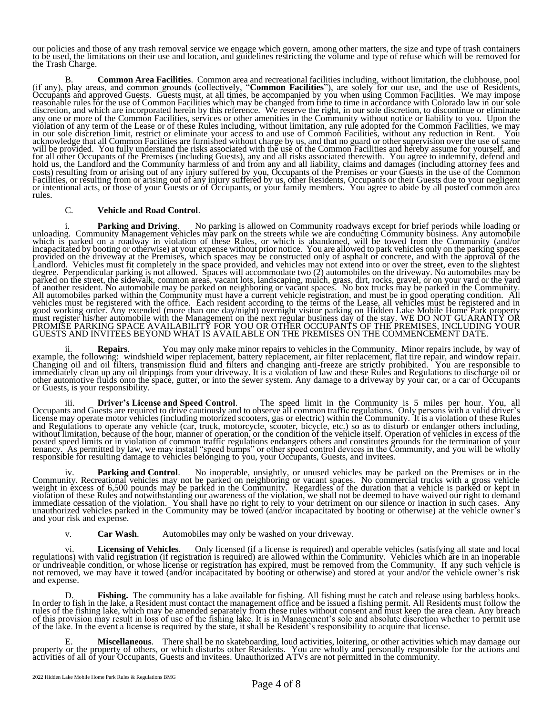our policies and those of any trash removal service we engage which govern, among other matters, the size and type of trash containers to be used, the limitations on their use and location, and guidelines restricting the volume and type of refuse which will be removed for the Trash Charge.

B. **Common Area Facilities**. Common area and recreational facilities including, without limitation, the clubhouse, pool (if any), play areas, and common grounds (collectively, "**Common Facilities**"), are solely for our use, and the use of Residents, Occupants and approved Guests. Guests must, at all times, be accompanied by you when using Common Facilities. We may impose reasonable rules for the use of Common Facilities which may be changed from time to time in accordance with Colorado law in our sole discretion, and which are incorporated herein by this reference. We reserve the right, in our sole discretion, to discontinue or eliminate any one or more of the Common Facilities, services or other amenities in the Community without notice or liability to you. Upon the violation of any term of the Lease or of these Rules including, without limitation, any rule adopted for the Common Facilities, we may in our sole discretion limit, restrict or eliminate your access to and use of Common Facilities, without any reduction in Rent. You acknowledge that all Common Facilities are furnished without charge by us, and that no guard or other supervision over the use of same will be provided. You fully understand the risks associated with the use of the Common Facilities and hereby assume for yourself, and for all other Occupants of the Premises (including Guests), any and all risks associated therewith. You agree to indemnify, defend and hold us, the Landlord and the Community harmless of and from any and all liability, claims and damages (including attorney fees and costs) resulting from or arising out of any injury suffered by you, Occupants of the Premises or your Guests in the use of the Common Facilities, or resulting from or arising out of any injury suffered by us, other Residents, Occupants or their Guests due to your negligent or intentional acts, or those of your Guests or of Occupants, or your family members. You agree to abide by all posted common area rules.

#### C. **Vehicle and Road Control**.

i. **Parking and Driving**. No parking is allowed on Community roadways except for brief periods while loading or unloading. Community Management vehicles may park on the streets while we are conducting Community business. Any automobile which is parked on a roadway in violation of these Rules, or which is abandoned, will be towed from the Community (and/or incapacitated by booting or otherwise) at your expense without prior notice. You are allowed to park vehicles only on the parking spaces provided on the driveway at the Premises, which spaces may be constructed only of asphalt or concrete, and with the approval of the Landlord. Vehicles must fit completely in the space provided, and vehicles may not extend into or over the street, even to the slightest degree. Perpendicular parking is not allowed. Spaces will accommodate two (2) automobiles on the driveway. No automobiles may be parked on the street, the sidewalk, common areas, vacant lots, landscaping, mulch, grass, dirt, rocks, gravel, or on your yard or the yard of another resident. No automobile may be parked on neighboring or vacant spaces. No box trucks may be parked in the Community. All automobiles parked within the Community must have a current vehicle registration, and must be in good operating condition. All vehicles must be registered with the office. Each resident according to the terms of the Lease, all vehicles must be registered and in good working order. Any extended (more than one day/night) overnight visitor parking on Hidden Lake Mobile Home Park property must register his/her automobile with the Management on the next regular business day of the stay. WE DO NOT GUARANTY OR PROMISE PARKING SPACE AVAILABILITY FOR YOU OR OTHER OCCUPANTS OF THE PREMISES, INCLUDING YOUR GUESTS AND INVITEES BEYOND WHAT IS AVAILABLE ON THE PREMISES ON THE COMMENCEMENT DATE.

ii. **Repairs**. You may only make minor repairs to vehicles in the Community. Minor repairs include, by way of example, the following: windshield wiper replacement, battery replacement, air filter replacement, flat tire repair, and window repair. Changing oil and oil filters, transmission fluid and filters and changing anti-freeze are strictly prohibited. You are responsible to immediately clean up any oil drippings from your driveway. It is a violation of law and these Rules and Regulations to discharge oil or other automotive fluids onto the space, gutter, or into the sewer system. Any damage to a driveway by your car, or a car of Occupants or Guests, is your responsibility.

iii. **Driver's License and Speed Control**. The speed limit in the Community is 5 miles per hour. You, all Occupants and Guests are required to drive cautiously and to observe all common traffic regulations. Only persons with a valid driver's license may operate motor vehicles (including motorized scooters, gas or electric) within the Community. It is a violation of these Rules and Regulations to operate any vehicle (car, truck, motorcycle, scooter, bicycle, etc.) so as to disturb or endanger others including, without limitation, because of the hour, manner of operation, or the condition of the vehicle itself. Operation of vehicles in excess of the posted speed limits or in violation of common traffic regulations endangers others and constitutes grounds for the termination of your tenancy. As permitted by law, we may install "speed bumps" or other speed control devices in the Community, and you will be wholly responsible for resulting damage to vehicles belonging to you, your Occupants, Guests, and invitees.

iv. **Parking and Control**. No inoperable, unsightly, or unused vehicles may be parked on the Premises or in the Community. Recreational vehicles may not be parked on neighboring or vacant spaces. No commercial trucks with a gross vehicle weight in excess of 6,500 pounds may be parked in the Community. Regardless of the duration that a vehicle is parked or kept in violation of these Rules and notwithstanding our awareness of the violation, we shall not be deemed to have waived our right to demand immediate cessation of the violation. You shall have no right to rely to your detriment on our silence or inaction in such cases. Any unauthorized vehicles parked in the Community may be towed (and/or incapacitated by booting or otherwise) at the vehicle owner's and your risk and expense.

v. **Car Wash**. Automobiles may only be washed on your driveway.

Licensing of Vehicles. Only licensed (if a license is required) and operable vehicles (satisfying all state and local regulations) with valid registration (if registration is required) are allowed within the Community. Vehicles which are in an inoperable or undriveable condition, or whose license or registration has expired, must be removed from the Community. If any such vehicle is not removed, we may have it towed (and/or incapacitated by booting or otherwise) and stored at your and/or the vehicle owner's risk and expense.

D. **Fishing.** The community has a lake available for fishing. All fishing must be catch and release using barbless hooks. In order to fish in the lake, a Resident must contact the management office and be issued a fishing permit. All Residents must follow the rules of the fishing lake, which may be amended separately from these rules without consent and must keep the area clean. Any breach of this provision may result in loss of use of the fishing lake. It is in Management's sole and absolute discretion whether to permit use of the lake. In the event a license is required by the state, it shall be Resident's responsibility to acquire that license.

E. **Miscellaneous**. There shall be no skateboarding, loud activities, loitering, or other activities which may damage our property or the property of others, or which disturbs other Residents. You are wholly and personally responsible for the actions and activities of all of your Occupants, Guests and invitees. Unauthorized ATVs are not permitted in the community.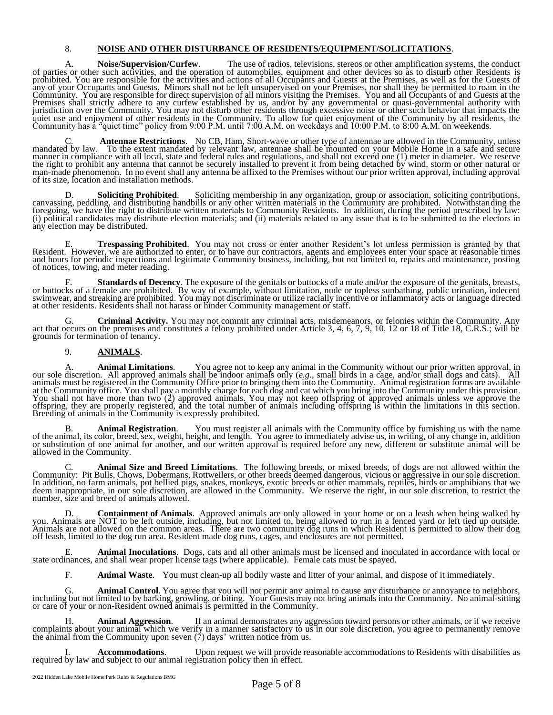## 8. **NOISE AND OTHER DISTURBANCE OF RESIDENTS/EQUIPMENT/SOLICITATIONS**.

A. **Noise/Supervision/Curfew**. The use of radios, televisions, stereos or other amplification systems, the conduct of parties or other such activities, and the operation of automobiles, equipment and other devices so as to disturb other Residents is prohibited. You are responsible for the activities and actions of all Occupants and Guests at the Premises, as well as for the Guests of any of your Occupants and Guests. Minors shall not be left unsupervised on your Premises, nor shall they be permitted to roam in the Community. You are responsible for direct supervision of all minors visiting the Premises. You and all Occupants of and Guests at the Premises shall strictly adhere to any curfew established by us, and/or by any governmental or quasi-governmental authority with jurisdiction over the Community. You may not disturb other residents through excessive noise or other such behavior that impacts the quiet use and enjoyment of other residents in the Community. To allow for quiet enjoyment of the Community by all residents, the Community has a "quiet time" policy from 9:00 P.M. until 7:00 A.M. on weekdays and 10:00 P.M. to 8:00 A.M. on weekends.

C. **Antennae Restrictions**. No CB, Ham, Short-wave or other type of antennae are allowed in the Community, unless mandated by law. To the extent mandated by relevant law, antennae shall be mounted on your Mobile Home in a safe and secure manner in compliance with all local, state and federal rules and regulations, and shall not exceed one (1) meter in diameter. We reserve the right to prohibit any antenna that cannot be securely installed to prevent it from being detached by wind, storm or other natural or man-made phenomenon. In no event shall any antenna be affixed to the Premises without our prior written approval, including approval of its size, location and installation methods.

D. **Soliciting Prohibited**. Soliciting membership in any organization, group or association, soliciting contributions, canvassing, peddling, and distributing handbills or any other written materials in the Community are prohibited. Notwithstanding the foregoing, we have the right to distribute written materials to Community Residents. In addition, during the period prescribed by law: (i) political candidates may distribute election materials; and (ii) materials related to any issue that is to be submitted to the electors in any election may be distributed.

E. **Trespassing Prohibited**. You may not cross or enter another Resident's lot unless permission is granted by that Resident. However, we are authorized to enter, or to have our contractors, agents and employees enter your space at reasonable times and hours for periodic inspections and legitimate Community business, including, but not limited to, repairs and maintenance, posting of notices, towing, and meter reading.

F. **Standards of Decency**. The exposure of the genitals or buttocks of a male and/or the exposure of the genitals, breasts, or buttocks of a female are prohibited. By way of example, without limitation, nude or topless sunbathing, public urination, indecent swimwear, and streaking are prohibited. You may not discriminate or utilize racially incentive or inflammatory acts or language directed at other residents. Residents shall not harass or hinder Community management or staff.

G. **Criminal Activity.** You may not commit any criminal acts, misdemeanors, or felonies within the Community. Any act that occurs on the premises and constitutes a felony prohibited under Article 3, 4, 6, 7, 9, 10, 12 or 18 of Title 18, C.R.S.; will be grounds for termination of tenancy.

## 9. **ANIMALS**.

A. **Animal Limitations**. You agree not to keep any animal in the Community without our prior written approval, in our sole discretion. All approved animals shall be indoor animals only (*e.g.*, small birds in a cage, and/or small dogs and cats). All animals must be registered in the Community Office prior to bringing them into the Community. Animal registration forms are available at the Community office. You shall pay a monthly charge for each dog and cat which you bring into the Community under this provision. You shall not have more than two (2) approved animals. You may not keep offspring of approved animals unless we approve the offspring, they are properly registered, and the total number of animals including offspring is within the limitations in this section. Breeding of animals in the Community is expressly prohibited.

B. **Animal Registration**. You must register all animals with the Community office by furnishing us with the name of the animal, its color, breed, sex, weight, height, and length. You agree to immediately advise us, in writing, of any change in, addition or substitution of one animal for another, and our written approval is required before any new, different or substitute animal will be allowed in the Community.

C. **Animal Size and Breed Limitations**. The following breeds, or mixed breeds, of dogs are not allowed within the Community: Pit Bulls, Chows, Dobermans, Rottweilers, or other breeds deemed dangerous, vicious or aggressive in our sole discretion. In addition, no farm animals, pot bellied pigs, snakes, monkeys, exotic breeds or other mammals, reptiles, birds or amphibians that we deem inappropriate, in our sole discretion, are allowed in the Community. We reserve the right, in our sole discretion, to restrict the number, size and breed of animals allowed.

D. **Containment of Animals**. Approved animals are only allowed in your home or on a leash when being walked by you. Animals are NOT to be left outside, including, but not limited to, being allowed to run in a fenced yard or left tied up outside. Animals are not allowed on the common areas. There are two community dog runs in which Resident is permitted to allow their dog off leash, limited to the dog run area. Resident made dog runs, cages, and enclosures are not permitted.

E. **Animal Inoculations**. Dogs, cats and all other animals must be licensed and inoculated in accordance with local or state ordinances, and shall wear proper license tags (where applicable). Female cats must be spayed.

F. **Animal Waste**. You must clean-up all bodily waste and litter of your animal, and dispose of it immediately.

G. **Animal Control**. You agree that you will not permit any animal to cause any disturbance or annoyance to neighbors, including but not limited to by barking, growling, or biting. Your Guests may not bring animals into the Community. No animal-sitting or care of your or non-Resident owned animals is permitted in the Community.

H. **Animal Aggression**. If an animal demonstrates any aggression toward persons or other animals, or if we receive complaints about your animal which we verify in a manner satisfactory to us in our sole discretion, you agree to permanently remove the animal from the Community upon seven (7) days' written notice from us.

Accommodations. Upon request we will provide reasonable accommodations to Residents with disabilities as required by law and subject to our animal registration policy then in effect.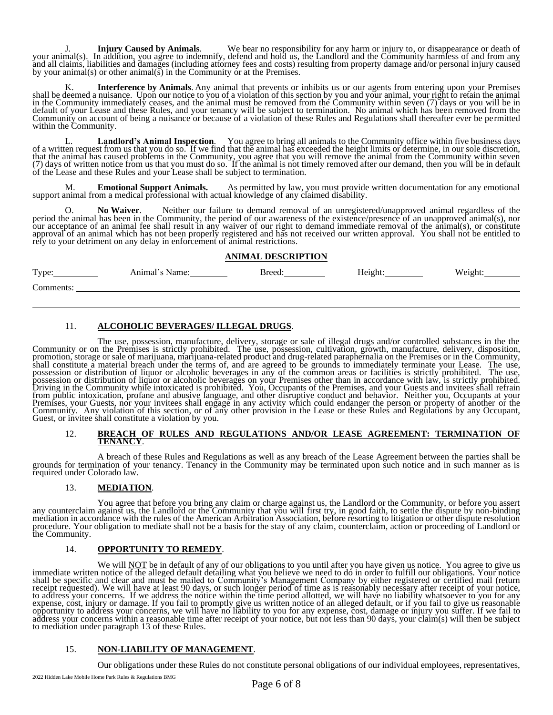J. **Injury Caused by Animals**. We bear no responsibility for any harm or injury to, or disappearance or death of your animal(s). In addition, you agree to indemnify, defend and hold us, the Landlord and the Community harmless of and from any and all claims, liabilities and damages (including attorney fees and costs) resulting from property damage and/or personal injury caused by your animal(s) or other animal(s) in the Community or at the Premises.

K. **Interference by Animals**. Any animal that prevents or inhibits us or our agents from entering upon your Premises shall be deemed a nuisance. Upon our notice to you of a violation of this section by you and your animal, your right to retain the animal in the Community immediately ceases, and the animal must be removed from the Community within seven (7) days or you will be in default of your Lease and these Rules, and your tenancy will be subject to termination. No animal which has been removed from the Community on account of being a nuisance or because of a violation of these Rules and Regulations shall thereafter ever be permitted within the Community.

L. **Landlord's Animal Inspection**. You agree to bring all animals to the Community office within five business days of a written request from us that you do so. If we find that the animal has exceeded the height limits or determine, in our sole discretion, that the animal has caused problems in the Community, you agree that you will remove the animal from the Community within seven (7) days of written notice from us that you must do so. If the animal is not timely removed after our demand, then you will be in default of the Lease and these Rules and your Lease shall be subject to termination.

**Emotional Support Animals.** As permitted by law, you must provide written documentation for any emotional support animal from a medical professional with actual knowledge of any claimed disability.

O. **No Waiver**. Neither our failure to demand removal of an unregistered/unapproved animal regardless of the period the animal has been in the Community, the period of our awareness of the existence/presence of an unapproved animal(s), nor our acceptance of an animal fee shall result in any waiver of our right to demand immediate removal of the animal(s), or constitute approval of an animal which has not been properly registered and has not received our written approval. You shall not be entitled to rely to your detriment on any delay in enforcement of animal restrictions.

#### **ANIMAL DESCRIPTION**

| Type:     | Animal's Name: | Breed: | Height: | Weioht<br>o |
|-----------|----------------|--------|---------|-------------|
| Comments: |                |        |         |             |

# 11. **ALCOHOLIC BEVERAGES/ ILLEGAL DRUGS**.

The use, possession, manufacture, delivery, storage or sale of illegal drugs and/or controlled substances in the the Community or on the Premises is strictly prohibited. The use, possession, cultivation, growth, manufacture, delivery, disposition, promotion, storage or sale of marijuana, marijuana-related product and drug-related paraphernalia on the Premises or in the Community, shall constitute a material breach under the terms of, and are agreed to be grounds to immediately terminate your Lease. The use, possession or distribution of liquor or alcoholic beverages in any of the common areas or facilities is strictly prohibited. The use, possession or distribution of liquor or alcoholic beverages on your Premises other than in accordance with law, is strictly prohibited. Driving in the Community while intoxicated is prohibited. You, Occupants of the Premises, and your Guests and invitees shall refrain from public intoxication, profane and abusive language, and other disruptive conduct and behavior. Neither you, Occupants at your Premises, your Guests, nor your invitees shall engage in any activity which could endanger the person or property of another or the Community. Any violation of this section, or of any other provision in the Lease or these Rules and Regulations by any Occupant, Guest, or invitee shall constitute a violation by you.

#### 12. **BREACH OF RULES AND REGULATIONS AND/OR LEASE AGREEMENT: TERMINATION OF TENANCY**.

A breach of these Rules and Regulations as well as any breach of the Lease Agreement between the parties shall be grounds for termination of your tenancy. Tenancy in the Community may be terminated upon such notice and in such manner as is required under Colorado law.

## 13. **MEDIATION**.

You agree that before you bring any claim or charge against us, the Landlord or the Community, or before you assert any counterclaim against us, the Landlord or the Community that you will first try, in good faith, to settle the dispute by non-binding mediation in accordance with the rules of the American Arbitration Association, before resorting to litigation or other dispute resolution procedure. Your obligation to mediate shall not be a basis for the stay of any claim, counterclaim, action or proceeding of Landlord or the Community.

## 14. **OPPORTUNITY TO REMEDY**.

We will NOT be in default of any of our obligations to you until after you have given us notice. You agree to give us immediate written notice of the alleged default detailing what you believe we need to do in order to fulfill our obligations. Your notice shall be specific and clear and must be mailed to Community's Management Company by either registered or certified mail (return receipt requested). We will have at least 90 days, or such longer period of time as is reasonably necessary after receipt of your notice, to address your concerns. If we address the notice within the time period allotted, we will have no liability whatsoever to you for any expense, cost, injury or damage. If you fail to promptly give us written notice of an alleged default, or if you fail to give us reasonable opportunity to address your concerns, we will have no liability to you for any expense, cost, damage or injury you suffer. If we fail to address your concerns within a reasonable time after receipt of your notice, but not less than 90 days, your claim(s) will then be subject to mediation under paragraph 13 of these Rules.

## 15. **NON-LIABILITY OF MANAGEMENT**.

Our obligations under these Rules do not constitute personal obligations of our individual employees, representatives,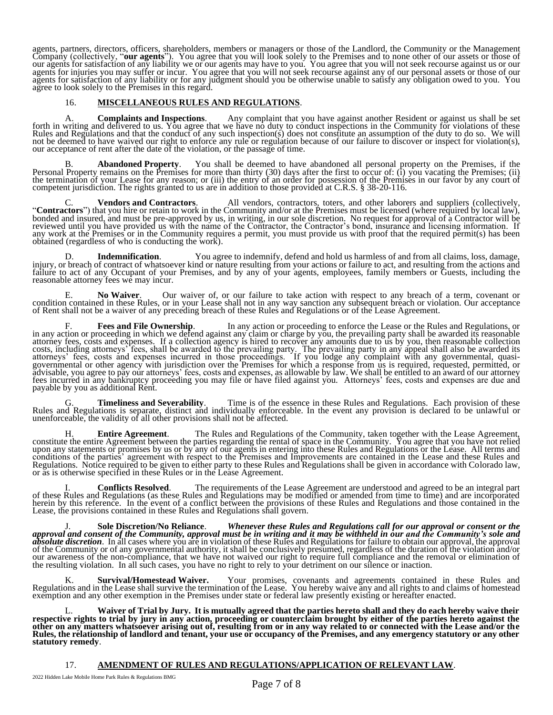agents, partners, directors, officers, shareholders, members or managers or those of the Landlord, the Community or the Management Company (collectively, "**our agents**"). You agree that you will look solely to the Premises and to none other of our assets or those of our agents for satisfaction of any liability we or our agents may have to you. You agree that you will not seek recourse against us or our agents for injuries you may suffer or incur. You agree that you will not seek recourse against any of our personal assets or those of our agents for satisfaction of any liability or for any judgment should you be otherwise unable to satisfy any obligation owed to you. You agree to look solely to the Premises in this regard.

## 16. **MISCELLANEOUS RULES AND REGULATIONS**.

A. **Complaints and Inspections**. Any complaint that you have against another Resident or against us shall be set forth in writing and delivered to us. You agree that we have no duty to conduct inspections in the Community for violations of these Rules and Regulations and that the conduct of any such inspection(s) does not constitute an assumption of the duty to do so. We will not be deemed to have waived our right to enforce any rule or regulation because of our failure to discover or inspect for violation(s), our acceptance of rent after the date of the violation, or the passage of time.

B. **Abandoned Property**. You shall be deemed to have abandoned all personal property on the Premises, if the Personal Property remains on the Premises for more than thirty (30) days after the first to occur of: (i) you vacating the Premises; (ii) the termination of your Lease for any reason; or (iii) the entry of an order for possession of the Premises in our favor by any court of competent jurisdiction. The rights granted to us are in addition to those provided at C.R.S. § 38-20-116.

C. **Vendors and Contractors**. All vendors, contractors, toters, and other laborers and suppliers (collectively, "**Contractors**") that you hire or retain to work in the Community and/or at the Premises must be licensed (where required by local law), bonded and insured, and must be pre-approved by us, in writing, in our sole discretion. No request for approval of a Contractor will be reviewed until you have provided us with the name of the Contractor, the Contractor's bond, insurance and licensing information. If any work at the Premises or in the Community requires a permit, you must provide us with proof that the required permit(s) has been obtained (regardless of who is conducting the work).

D. **Indemnification**. You agree to indemnify, defend and hold us harmless of and from all claims, loss, damage, injury, or breach of contract of whatsoever kind or nature resulting from your actions or failure to act, and resulting from the actions and failure to act of any Occupant of your Premises, and by any of your agents, employees, family members or Guests, including the reasonable attorney fees we may incur.

E. **No Waiver**. Our waiver of, or our failure to take action with respect to any breach of a term, covenant or condition contained in these Rules, or in your Lease shall not in any way sanction any subsequent breach or violation. Our acceptance of Rent shall not be a waiver of any preceding breach of these Rules and Regulations or of the Lease Agreement.

F. **Fees and File Ownership**. In any action or proceeding to enforce the Lease or the Rules and Regulations, or in any action or proceeding in which we defend against any claim or charge by you, the prevailing party shall be awarded its reasonable attorney fees, costs and expenses. If a collection agency is hired to recover any amounts due to us by you, then reasonable collection costs, including attorneys' fees, shall be awarded to the prevailing party. The prevailing party in any appeal shall also be awarded its attorneys' fees, costs and expenses incurred in those proceedings. If you lodge any complaint with any governmental, quasigovernmental or other agency with jurisdiction over the Premises for which a response from us is required, requested, permitted, or advisable, you agree to pay our attorneys' fees, costs and expenses, as allowable by law. We shall be entitled to an award of our attorney fees incurred in any bankruptcy proceeding you may file or have filed against you. Attorneys' fees, costs and expenses are due and payable by you as additional Rent.

G. **Timeliness and Severability**. Time is of the essence in these Rules and Regulations. Each provision of these Rules and Regulations is separate, distinct and individually enforceable. In the event any provision is declared to be unlawful or unenforceable, the validity of all other provisions shall not be affected.

H. **Entire Agreement**. The Rules and Regulations of the Community, taken together with the Lease Agreement, constitute the entire Agreement between the parties regarding the rental of space in the Community. You agree that you have not relied upon any statements or promises by us or by any of our agents in entering into these Rules and Regulations or the Lease. All terms and conditions of the parties' agreement with respect to the Premises and Improvements are contained in the Lease and these Rules and Regulations. Notice required to be given to either party to these Rules and Regulations shall be given in accordance with Colorado law, or as is otherwise specified in these Rules or in the Lease Agreement.

I. **Conflicts Resolved**. The requirements of the Lease Agreement are understood and agreed to be an integral part of these Rules and Regulations (as these Rules and Regulations may be modified or amended from time to time) and are incorporated herein by this reference. In the event of a conflict between the provisions of these Rules and Regulations and those contained in the Lease, the provisions contained in these Rules and Regulations shall govern.

J. **Sole Discretion/No Reliance**. *Whenever these Rules and Regulations call for our approval or consent or the approval and consent of the Community, approval must be in writing and it may be withheld in our and the Community's sole and absolute discretion*. In all cases where you are in violation of these Rules and Regulations for failure to obtain our approval, the approval of the Community or of any governmental authority, it shall be conclusively presumed, regardless of the duration of the violation and/or our awareness of the non-compliance, that we have not waived our right to require full compliance and the removal or elimination of the resulting violation. In all such cases, you have no right to rely to your detriment on our silence or inaction.

K. **Survival/Homestead Waiver.** Your promises, covenants and agreements contained in these Rules and Regulations and in the Lease shall survive the termination of the Lease. You hereby waive any and all rights to and claims of homestead exemption and any other exemption in the Premises under state or federal law presently existing or hereafter enacted.

L. **Waiver of Trial by Jury. It is mutually agreed that the parties hereto shall and they do each hereby waive their respective rights to trial by jury in any action, proceeding or counterclaim brought by either of the parties hereto against the other on any matters whatsoever arising out of, resulting from or in any way related to or connected with the Lease and/or the Rules, the relationship of landlord and tenant, your use or occupancy of the Premises, and any emergency statutory or any other statutory remedy**.

## 17. **AMENDMENT OF RULES AND REGULATIONS/APPLICATION OF RELEVANT LAW**.